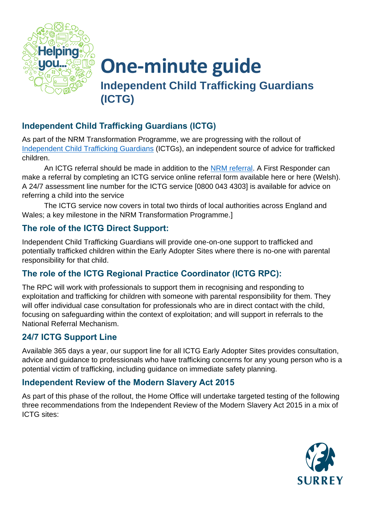

# **One-minute guide Independent Child Trafficking Guardians (ICTG)**

## **Independent Child Trafficking Guardians (ICTG)**

As part of the NRM Transformation Programme, we are progressing with the rollout of [Independent Child Trafficking Guardians](https://response.smartcdn.co.uk/homeofficeR4/mailresponse.asp?tid=23927&em=20073288&turl=https://www.gov.uk/government/publications/child-trafficking-advocates-early-adopter-sites) (ICTGs), an independent source of advice for trafficked children.

An ICTG referral should be made in addition to the [NRM referral.](https://www.modernslavery.gov.uk/start?hof-cookie-check) A First Responder can make a referral by completing an ICTG service online referral form available here or here (Welsh). A 24/7 assessment line number for the ICTG service [0800 043 4303] is available for advice on referring a child into the service

The ICTG service now covers in total two thirds of local authorities across England and Wales; a key milestone in the NRM Transformation Programme.]

## **The role of the ICTG Direct Support:**

Independent Child Trafficking Guardians will provide one-on-one support to trafficked and potentially trafficked children within the Early Adopter Sites where there is no-one with parental responsibility for that child.

## **The role of the ICTG Regional Practice Coordinator (ICTG RPC):**

The RPC will work with professionals to support them in recognising and responding to exploitation and trafficking for children with someone with parental responsibility for them. They will offer individual case consultation for professionals who are in direct contact with the child, focusing on safeguarding within the context of exploitation; and will support in referrals to the National Referral Mechanism.

### **24/7 ICTG Support Line**

Available 365 days a year, our support line for all ICTG Early Adopter Sites provides consultation, advice and guidance to professionals who have trafficking concerns for any young person who is a potential victim of trafficking, including guidance on immediate safety planning.

#### **Independent Review of the Modern Slavery Act 2015**

As part of this phase of the rollout, the Home Office will undertake targeted testing of the following three recommendations from the Independent Review of the Modern Slavery Act 2015 in a mix of ICTG sites: